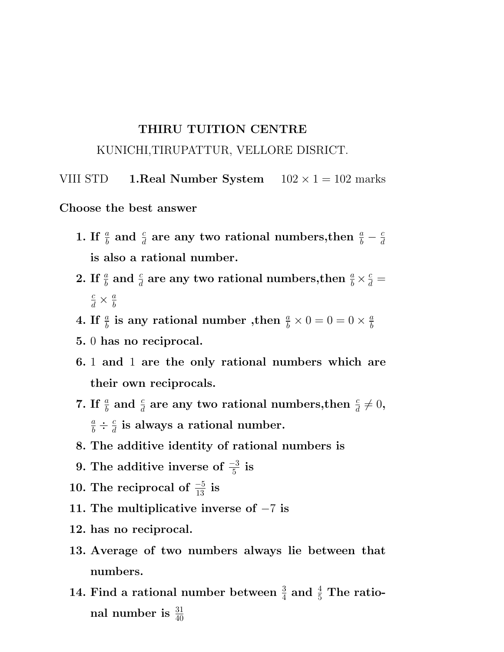## THIRU TUITION CENTRE

## KUNICHI,TIRUPATTUR, VELLORE DISRICT.

VIII STD 1. Real Number System  $102 \times 1 = 102$  marks

Choose the best answer

- 1. If  $\frac{a}{b}$  and  $\frac{c}{d}$  are any two rational numbers, then  $\frac{a}{b} \frac{c}{d}$ d is also a rational number.
- 2. If  $\frac{a}{b}$  and  $\frac{c}{d}$  are any two rational numbers, then  $\frac{a}{b} \times \frac{c}{d} =$  $rac{c}{d} \times \frac{a}{b}$ b
- 4. If  $\frac{a}{b}$  is any rational number ,then  $\frac{a}{b} \times 0 = 0 = 0 \times \frac{a}{b}$ b
- 5. 0 has no reciprocal.
- 6. 1 and 1 are the only rational numbers which are their own reciprocals.
- 7. If  $\frac{a}{b}$  and  $\frac{c}{d}$  are any two rational numbers, then  $\frac{c}{d} \neq 0$ ,  $\frac{a}{b} \div \frac{c}{d}$  $\frac{c}{d}$  is always a rational number.
- 8. The additive identity of rational numbers is
- 9. The additive inverse of  $\frac{-3}{5}$  is
- 10. The reciprocal of  $\frac{-5}{13}$  is
- 11. The multiplicative inverse of −7 is
- 12. has no reciprocal.
- 13. Average of two numbers always lie between that numbers.
- 14. Find a rational number between  $\frac{3}{4}$  and  $\frac{4}{5}$  The rational number is  $\frac{31}{40}$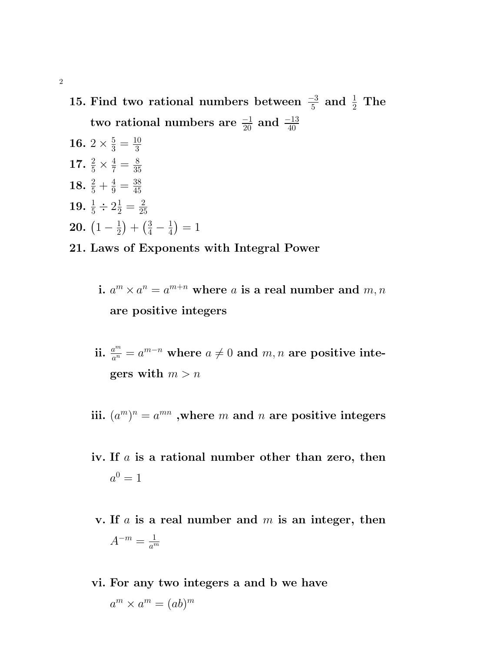15. Find two rational numbers between  $\frac{-3}{5}$  and  $\frac{1}{2}$  The two rational numbers are  $\frac{-1}{20}$  and  $\frac{-13}{40}$ 

- 16. 2  $\times \frac{5}{3} = \frac{10}{3}$ 3 17.  $\frac{2}{5} \times \frac{4}{7} = \frac{8}{35}$ 35 18.  $\frac{2}{5} + \frac{4}{9} = \frac{38}{45}$ 45 19.  $\frac{1}{5} \div 2\frac{1}{2} = \frac{2}{25}$ 25 **20.**  $\left(1-\frac{1}{2}\right)$  $\frac{1}{2}$  +  $\left(\frac{3}{4} - \frac{1}{4}\right)$  $(\frac{1}{4}) = 1$
- 21. Laws of Exponents with Integral Power
	- i.  $a^m \times a^n = a^{m+n}$  where a is a real number and  $m, n$ are positive integers
	- ii.  $\frac{a^m}{a^n}$  $\frac{a^m}{a^n}=a^{m-n} \,\,\text{where}\,\, a\neq 0 \,\, \text{and} \,\, m, n \,\, \text{are positive integer}$ gers with  $m > n$
	- iii.  $(a^m)^n = a^{mn}$  ,where m and n are positive integers
	- iv. If  $a$  is a rational number other than zero, then  $a^0=1$
	- v. If  $a$  is a real number and  $m$  is an integer, then  $A^{-m}=\frac{1}{a^n}$  $\overline{a^m}$
	- vi. For any two integers a and b we have  $a^m \times a^m = (ab)^m$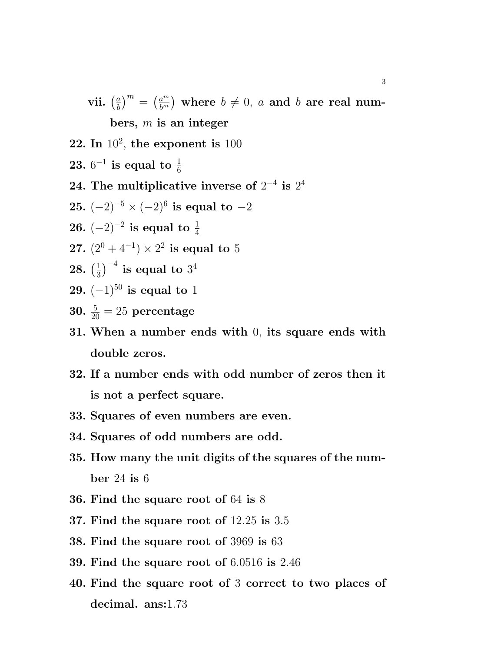vii.  $\left(\frac{a}{b}\right)$  $\left(\frac{a}{b}\right)^m = \left(\frac{a^m}{b^m}\right)$  $\left(\begin{smallmatrix} a^m \ b^m \end{smallmatrix}\right)$  where  $b\neq 0, \ a$  and  $b$  are real numbers,  $m$  is an integer

- 22. In  $10^2$ , the exponent is  $100$
- ${\bf 23.} \ 6^{-1}$  is equal to  $\frac{1}{6}$
- 24. The multiplicative inverse of  $2^{-4}$  is  $2^4$
- ${\bf 25.}~(-2)^{-5}\times(-2)^{6}~\text{is equal to}-2$
- ${\bf 26.}~(-2)^{-2}~{\bf is~ equal~ to}~ \frac{1}{4}$
- 27.  $(2^0 + 4^{-1}) \times 2^2$  is equal to 5
- $28.\;(\frac{1}{3}$  $\left(\frac{1}{3}\right)^{-4}$  is equal to  $3^4$
- 29.  $(-1)^{50}$  is equal to 1
- **30.**  $\frac{5}{20} = 25$  percentage
- 31. When a number ends with 0, its square ends with double zeros.
- 32. If a number ends with odd number of zeros then it is not a perfect square.
- 33. Squares of even numbers are even.
- 34. Squares of odd numbers are odd.
- 35. How many the unit digits of the squares of the number 24 is 6
- 36. Find the square root of 64 is 8
- 37. Find the square root of 12.25 is 3.5
- 38. Find the square root of 3969 is 63
- 39. Find the square root of 6.0516 is 2.46
- 40. Find the square root of 3 correct to two places of decimal. ans:1.73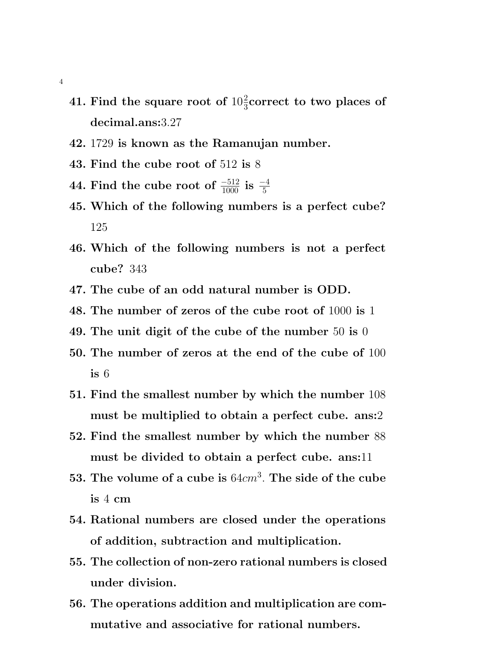- 41. Find the square root of  $10\frac{2}{3}$ correct to two places of decimal.ans:3.27
- 42. 1729 is known as the Ramanujan number.
- 43. Find the cube root of 512 is 8
- 44. Find the cube root of  $\frac{-512}{1000}$  is  $\frac{-4}{5}$
- 45. Which of the following numbers is a perfect cube? 125
- 46. Which of the following numbers is not a perfect cube? 343
- 47. The cube of an odd natural number is ODD.
- 48. The number of zeros of the cube root of 1000 is 1
- 49. The unit digit of the cube of the number 50 is 0
- 50. The number of zeros at the end of the cube of 100 is 6
- 51. Find the smallest number by which the number 108 must be multiplied to obtain a perfect cube. ans:2
- 52. Find the smallest number by which the number 88 must be divided to obtain a perfect cube. ans:11
- 53. The volume of a cube is  $64cm^3$ . The side of the cube is 4 cm
- 54. Rational numbers are closed under the operations of addition, subtraction and multiplication.
- 55. The collection of non-zero rational numbers is closed under division.
- 56. The operations addition and multiplication are commutative and associative for rational numbers.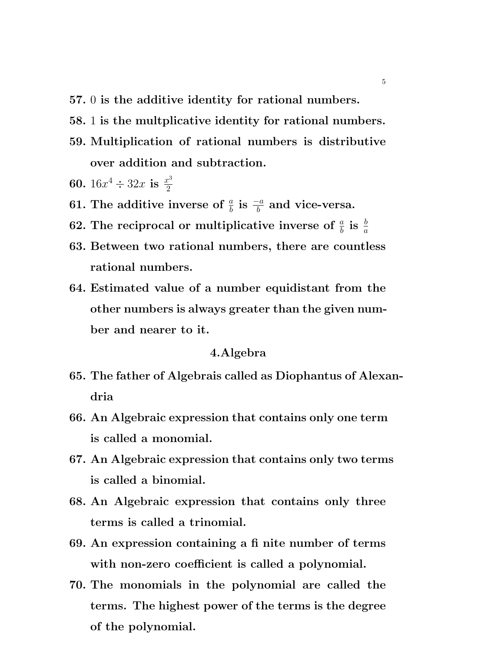- 57. 0 is the additive identity for rational numbers.
- 58. 1 is the multplicative identity for rational numbers.
- 59. Multiplication of rational numbers is distributive over addition and subtraction.
- 60.  $16x^4 \div 32x$  is  $\frac{x^3}{2}$ 2
- 61. The additive inverse of  $\frac{a}{b}$  is  $\frac{-a}{b}$  and vice-versa.
- 62. The reciprocal or multiplicative inverse of  $\frac{a}{b}$  is  $\frac{b}{a}$
- 63. Between two rational numbers, there are countless rational numbers.
- 64. Estimated value of a number equidistant from the other numbers is always greater than the given number and nearer to it.

## 4.Algebra

- 65. The father of Algebrais called as Diophantus of Alexandria
- 66. An Algebraic expression that contains only one term is called a monomial.
- 67. An Algebraic expression that contains only two terms is called a binomial.
- 68. An Algebraic expression that contains only three terms is called a trinomial.
- 69. An expression containing a fi nite number of terms with non-zero coefficient is called a polynomial.
- 70. The monomials in the polynomial are called the terms. The highest power of the terms is the degree of the polynomial.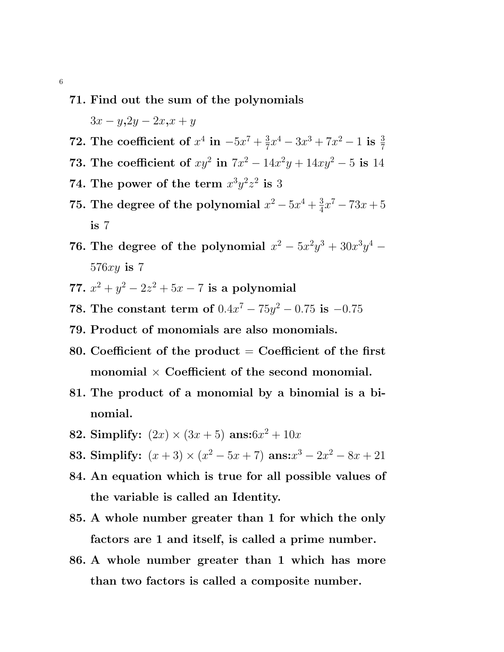## 71. Find out the sum of the polynomials

 $3x - y, 2y - 2x, x + y$ 

- 72. The coefficient of  $x^4$  in  $-5x^7 + \frac{3}{7}$  $\frac{3}{7}x^4 - 3x^3 + 7x^2 - 1$  is  $\frac{3}{7}$
- 73. The coefficient of  $xy^2$  in  $7x^2 14x^2y + 14xy^2 5$  is 14
- 74. The power of the term  $x^3y^2z^2$  is 3
- 75. The degree of the polynomial  $x^2 5x^4 + \frac{3}{4}$  $\frac{3}{4}x^7 - 73x + 5$ is 7
- 76. The degree of the polynomial  $x^2 5x^2y^3 + 30x^3y^4$   $576xy$  is 7
- 77.  $x^2 + y^2 2z^2 + 5x 7$  is a polynomial
- **78.** The constant term of  $0.4x^7 75y^2 0.75$  is  $-0.75$
- 79. Product of monomials are also monomials.
- 80. Coefficient of the product  $=$  Coefficient of the first monomial  $\times$  Coefficient of the second monomial.
- 81. The product of a monomial by a binomial is a binomial.
- 82. Simplify:  $(2x) \times (3x+5)$  ans: $6x^2 + 10x$
- 83. Simplify:  $(x+3) \times (x^2 5x + 7)$  ans: $x^3 2x^2 8x + 21$
- 84. An equation which is true for all possible values of the variable is called an Identity.
- 85. A whole number greater than 1 for which the only factors are 1 and itself, is called a prime number.
- 86. A whole number greater than 1 which has more than two factors is called a composite number.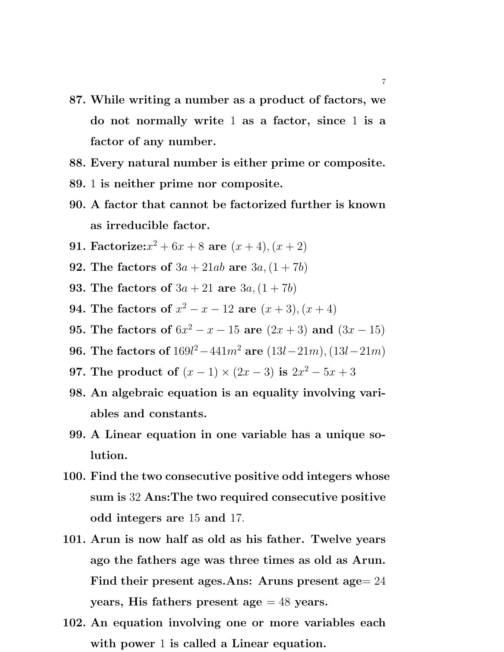- 87. While writing a number as a product of factors, we do not normally write 1 as a factor, since 1 is a factor of any number.
- 88. Every natural number is either prime or composite.
- 89. 1 is neither prime nor composite.
- 90. A factor that cannot be factorized further is known as irreducible factor.
- **91.** Factorize: $x^2 + 6x + 8$  are  $(x + 4), (x + 2)$
- **92.** The factors of  $3a + 21ab$  are  $3a, (1 + 7b)$
- **93.** The factors of  $3a + 21$  are  $3a, (1 + 7b)$
- **94.** The factors of  $x^2 x 12$  are  $(x + 3)$ ,  $(x + 4)$
- 95. The factors of  $6x^2 x 15$  are  $(2x + 3)$  and  $(3x 15)$
- 96. The factors of  $169l^2 441m^2$  are  $(13l 21m)$ ,  $(13l 21m)$
- 97. The product of  $(x 1) \times (2x 3)$  is  $2x^2 5x + 3$
- 98. An algebraic equation is an equality involving variables and constants.
- 99. A Linear equation in one variable has a unique solution.
- 100. Find the two consecutive positive odd integers whose sum is 32 Ans:The two required consecutive positive odd integers are 15 and 17.
- 101. Arun is now half as old as his father. Twelve years ago the fathers age was three times as old as Arun. Find their present ages.Ans: Aruns present age= 24 years, His fathers present age  $= 48$  years.
- 102. An equation involving one or more variables each with power 1 is called a Linear equation.